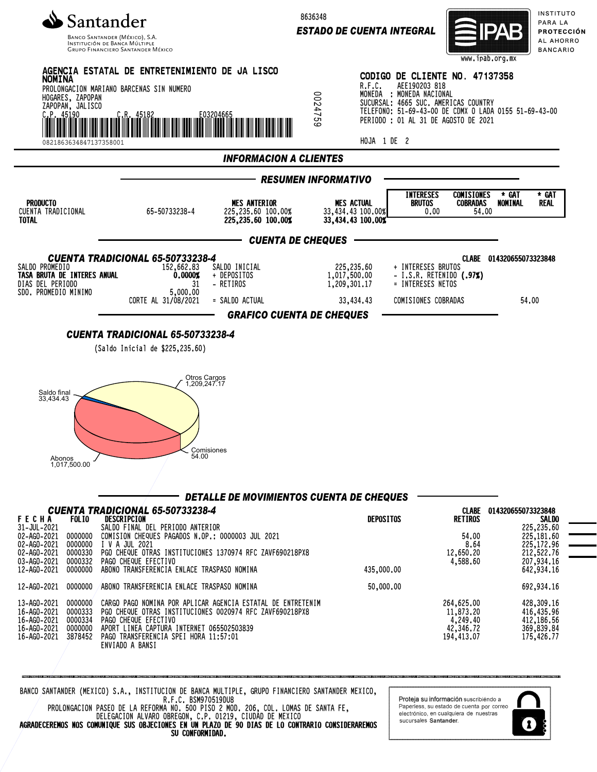

INSTITUCIÓN DE BANCA MÚLTIF **GRUPO FINANCIERO SANTANDER MÉXICO**  8636348

*ESTADO DE CUENTA INTEGRAL*



INSTITUTO PARA LA PROTECCIÓN AL AHORRO **BANCARIO** 



BANCO SANTANDER (MEXICO) S.A., INSTITUCION DE BANCA MULTIPLE, GRUPO FINANCIERO SANTANDER MEXICO, R.F.C. BSM970519DU8

PROLONGACION PASEO DE LA REFORMA NO. 500 PISO 2 MOD. 206, COL. LOMAS DE SANTA FE, DELEGACION ALVARO OBREGON, C.P. 01219, CIUDAD DE MEXICO AGRADECEREMOS NOS COMUNIQUE SUS OBJECIONES EN UN PLAZO DE 90 DIAS DE LO CONTRARIO CONSIDERAREMOS SU CONFORMIDAD.

Proteja su información suscribiéndo a Paperless, su estado de cuenta por correo electrónico, en cualquiera de nuestras sucursales Santander

1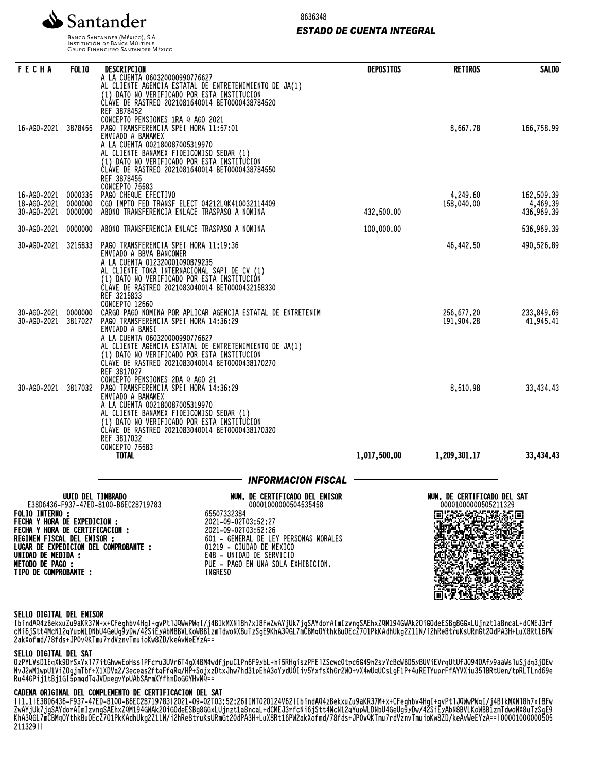

8636348

# *ESTADO DE CUENTA INTEGRAL*

**BANCO SANTANDER (MÉXICO), S.A. INSTITUCIÓN DE BANCA MÚLTIPLE**<br>INSTITUCIÓN DE BANCA MÚLTIPLE<br>GRUPO FINANCIERO SANTANDER MÉXICO

| <b>FECHA</b>                                                                                                                                                                                     | <b>FOLIO</b>                  | DESCRIPCION                                                                                                                                                                                                                                                                                                                                            | <b>DEPOSITOS</b> | <b>RETIROS</b>                                      | <b>SALDO</b>                         |
|--------------------------------------------------------------------------------------------------------------------------------------------------------------------------------------------------|-------------------------------|--------------------------------------------------------------------------------------------------------------------------------------------------------------------------------------------------------------------------------------------------------------------------------------------------------------------------------------------------------|------------------|-----------------------------------------------------|--------------------------------------|
|                                                                                                                                                                                                  |                               | A LA CUENTA 060320000990776627<br>AL CLIENTE AGENCIA ESTATAL DE ENTRETENIMIENTO DE JA(1)<br>(1) DATO NO VERIFICADO POR ESTA INSTITUCION<br>CLÁVE DE RASTREO 2021081640014 BET0000438784520<br>REF 3878452                                                                                                                                              |                  |                                                     |                                      |
| 16-AGO-2021                                                                                                                                                                                      | 3878455                       | CONCEPTO PENSIONES 1RA Q AGO 2021<br>PAGO TRANSFERENCIA SPEI HORA 11:57:01<br>ENVIADO A BANAMEX<br>A LA CUENTA 002180087005319970<br>AL CLIENTE BANAMEX FIDEICOMISO SEDAR (1)<br>(1) DATO NO VERIFICADO POR ESTA INSTITUCION                                                                                                                           |                  | 8,667.78                                            | 166,758.99                           |
|                                                                                                                                                                                                  |                               | CLÁVE DE RASTREO 2021081640014 BET0000438784550<br>REF 3878455<br><b>CONCEPTO 75583</b>                                                                                                                                                                                                                                                                |                  |                                                     |                                      |
| 16-AGO-2021<br>18-AG0-2021<br>30-AG0-2021                                                                                                                                                        | 0000335<br>0000000<br>0000000 | PAGO CHEQUE EFECTIVO<br>CGO IMPTO FED TRANSF ELECT 04212LQK410032114409<br>ABONO TRANSFERENCIA ENLACE TRASPASO A NOMINA                                                                                                                                                                                                                                | 432,500.00       | 4,249.60<br>158,040.00                              | 162,509.39<br>4,469.39<br>436,969.39 |
| 30-AG0-2021                                                                                                                                                                                      | 0000000                       | ABONO TRANSFERENCIA ENLACE TRASPASO A NOMINA                                                                                                                                                                                                                                                                                                           | 100,000.00       |                                                     | 536,969.39                           |
| 30-AG0-2021                                                                                                                                                                                      | 3215833                       | PAGO TRANSFERENCIA SPEI HORA 11:19:36<br>ENVIADO A BBVA BANCOMER<br>A LA CUENTA 012320001090879235<br>AL CLIENTE TOKA INTERNACIONAL SAPI DE CV (1)<br>(1) DATO NO VERIFICADO POR ESTA INSTITUCIÓN<br>CLAVE DE RASTREO 2021083040014 BET0000432158330<br>REF 3215833<br>CONCEPTO 12660                                                                  |                  | 46,442.50                                           | 490,526.89                           |
| 30-AG0-2021<br>30-AG0-2021                                                                                                                                                                       | 0000000<br>3817027            | CARGO PAGO NOMINA POR APLICAR AGENCIA ESTATAL DE ENTRETENIM<br>PAGO TRANSFERENCIA SPEI HORA 14:36:29<br>ENVIADO A BANSI<br>A LA CUENTA 060320000990776627<br>AL CLIENTE AGENCIA ESTATAL DE ENTRETENIMIENTO DE JA(1)<br>(1) DATO NO VERIFICADO POR ESTA INSTITUCION<br>CLÁVE DE RASTREO 2021083040014 BET0000438170270<br>REF 3817027                   |                  | 256,677.20<br>191,904.28                            | 233,849.69<br>41,945.41              |
| 30-AGO-2021                                                                                                                                                                                      | 3817032                       | CONCEPTO PENSIONES 2DA Q AGO 21<br>PAGO TRANSFERENCIA SPEI HORA 14:36:29<br>ENVIADO A BANAMEX<br>A LA CUENTA 002180087005319970<br>AL CLIENTE BANAMEX FIDEICOMISO SEDAR (1)<br>(1) DATO NO VERIFICADO POR ESTA INSTITUCION<br>CLÁVE DE RASTREO 2021083040014 BET0000438170320<br>REF 3817032<br><b>CONCEPTO 75583</b>                                  |                  | 8,510.98                                            | 33,434.43                            |
|                                                                                                                                                                                                  |                               | <b>TOTAL</b>                                                                                                                                                                                                                                                                                                                                           | 1,017,500.00     | 1,209,301.17                                        | 33,434.43                            |
|                                                                                                                                                                                                  |                               | <b>INFORMACION FISCAL</b>                                                                                                                                                                                                                                                                                                                              |                  |                                                     |                                      |
| <b>FOLIO INTERNO:</b><br>FECHA Y HORA DE EXPEDICION :<br>FECHA Y HORA DE CERTIFICACION:<br>REGIMEN FISCAL DEL EMISOR :<br>UNIDAD DE MEDIDA :<br><b>METODO DE PAGO :</b><br>TIPO DE COMPROBANTE : | UUID DEL TIMBRADO             | NUM. DE CERTIFICADO DEL EMISOR<br>E38D6436-F937-47ED-8100-B6EC28719783<br>00001000000504535458<br>65507332384<br>2021-09-02T03:52:27<br>2021-09-02T03:52:26<br>601 - GENERAL DE LEY PERSONAS MORALES<br>LUGAR DE EXPEDICION DEL COMPROBANTE :<br>01219 - CIUDAD DE MEXICO<br>E48 - UNIDAD DE SERVICIO<br>PUE - PAGO EN UNA SOLA EXHIBICION.<br>INGRESO |                  | NUM. DE CERTIFICADO DEL SAT<br>00001000000505211329 |                                      |

#### SELLO DIGITAL DEL EMISOR

IbindAQ4zBekxuZu9aKR37M+x+CFeghbv4HgI+gvPtlJQWwPWqI/j4BIkMXNl8h7xI8FwZwAYjUk7jgSAYdorAImIzvngSAEhxZQM194GWAk2OiGOdeESBg8GGxLUjnzt1a8ncaL+dCMEJ3rf CNI0JStt4McN1ZqYupWLUNDU4GeUg9yDW/4ZSIEYADN8BVLKOWBD1ZMIQWONX8UIZSgE9KNA3YGL/MCBMQUYtNKBUUECZ/UIPKKAQNUKGZZ11N/IZNRe8truKSUKMGtZUQPA3H+LUX8Rt10PW 2akXofmd/78fds+JP0vQKTmu7rdVznvTmuioKw8ZD/keAvWeEYzA==

#### SELLO DIGITAL DEL SAT

OzPYLVsD1EqXk9DrSxYxl77itGhwwEoHsslPFcru3UVr6T4gX4BM4wdfjpuC1Pn6F9ybL+ni5RHgiszPFElZScwc0tpc6G49n2syYcBcWBD5y8UViEVrqUtUfJO94OAfy9aaWsluSjdq3jDEw NvJ2wM1wpU1ViZOgjmTbf+X1XDVa2/3eceas2ftqFfqRq/HP+SojxzDtxJhw7hd31pEhA3oYydU0Iiv5YxfsXhGr2WO+vX4wUqUCsLgF1P+4uRETYuprFfAYVXiu35lBRtUen/tpRLTLnd69e Ru44GPij1tBj1GI5pmqdTqJVDpegvYpUAbSArmXYfhnDoGGYHvMQ==

## CADENA ORIGINAL DEL COMPLEMENTO DE CERTIFICACION DEL SAT

||1.1|E38D6436-F937-47ED-8100-B6EC28719783|2021-09-02T03:52:26|INT020124V62|IbindAQ4zBekxuZu9aKR37M+x+CFeghbv4HgI+gvPtlJQWwPWqI/j4BIkMXNl8h7xI8Fw ZwAYjUk7jgSAYdorAImIzvngSAEhxZQM194GWAk2OiGOdeESBg8GGxLUjnzt1a8ncaL+dCMEJ3rfcNi6jStt4McN12qYupWLDNbU4GeUg9yDw/42SiEyAbN8BVLKoWBB1zmTdwoNX8uTzSgE9 KhA3QGL7mCBMqOYthkBuOEcZ7O1PkKAdhUkg2Z11N/i2hRe8truKsURmGt20dPA3H+LuX8Rt16PW2akXofmd/78fds+JP0vQKTmu7rdVznvTmuioKw8ZD/keAvWeEYzA==|00001000000505 211329||